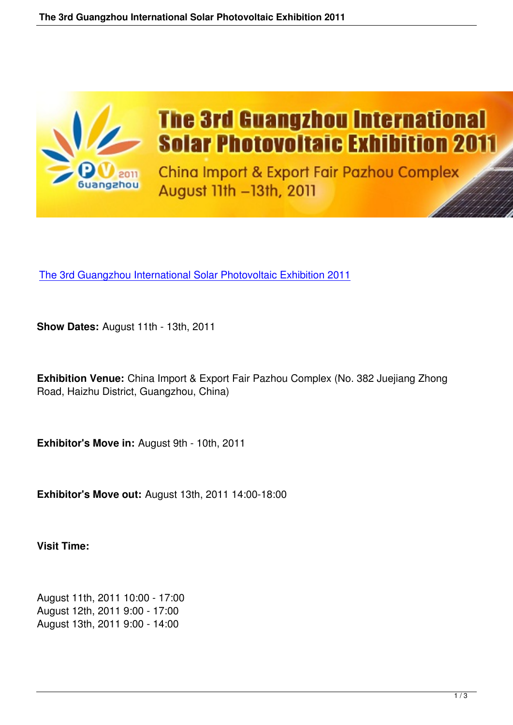

# **The 3rd Guangzhou International Solar Photovoltaic Exhibition 2011**

China Import & Export Fair Pazhou Complex August 11th -13th, 2011

The 3rd Guangzhou International Solar Photovoltaic Exhibition 2011

**Show Dates:** [August 11th - 13th, 2011](http://www.gzxny.com/index_e.asp) 

**Exhibition Venue:** China Import & Export Fair Pazhou Complex (No. 382 Juejiang Zhong Road, Haizhu District, Guangzhou, China)

**Exhibitor's Move in:** August 9th - 10th, 2011

**Exhibitor's Move out:** August 13th, 2011 14:00-18:00

**Visit Time:**

August 11th, 2011 10:00 - 17:00 August 12th, 2011 9:00 - 17:00 August 13th, 2011 9:00 - 14:00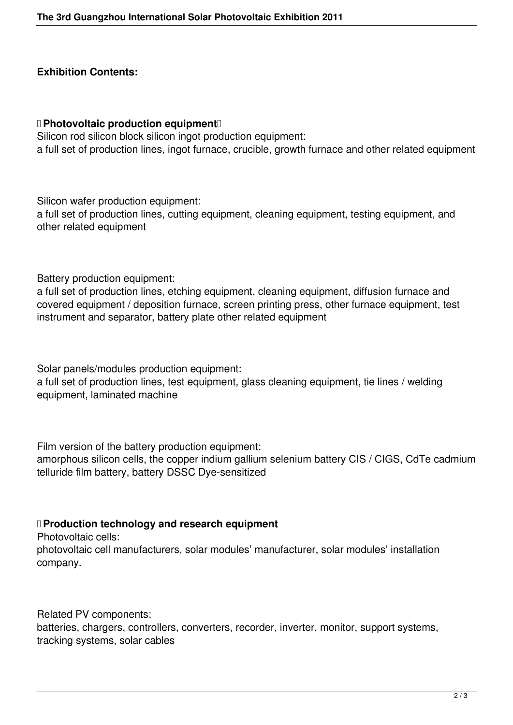### **Exhibition Contents:**

#### **D** Photovoltaic production equipment<sup>[]</sup>

Silicon rod silicon block silicon ingot production equipment: a full set of production lines, ingot furnace, crucible, growth furnace and other related equipment

Silicon wafer production equipment:

a full set of production lines, cutting equipment, cleaning equipment, testing equipment, and other related equipment

Battery production equipment:

a full set of production lines, etching equipment, cleaning equipment, diffusion furnace and covered equipment / deposition furnace, screen printing press, other furnace equipment, test instrument and separator, battery plate other related equipment

Solar panels/modules production equipment:

a full set of production lines, test equipment, glass cleaning equipment, tie lines / welding equipment, laminated machine

Film version of the battery production equipment:

amorphous silicon cells, the copper indium gallium selenium battery CIS / CIGS, CdTe cadmium telluride film battery, battery DSSC Dye-sensitized

## **D** Production technology and research equipment

Photovoltaic cells:

photovoltaic cell manufacturers, solar modules' manufacturer, solar modules' installation company.

Related PV components:

batteries, chargers, controllers, converters, recorder, inverter, monitor, support systems, tracking systems, solar cables